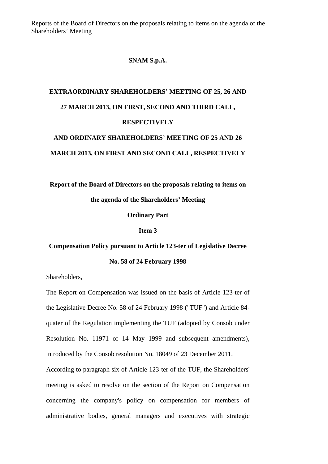Reports of the Board of Directors on the proposals relating to items on the agenda of the Shareholders' Meeting

### **SNAM S.p.A.**

## **EXTRAORDINARY SHAREHOLDERS' MEETING OF 25, 26 AND 27 MARCH 2013, ON FIRST, SECOND AND THIRD CALL, RESPECTIVELY AND ORDINARY SHAREHOLDERS' MEETING OF 25 AND 26**

# **MARCH 2013, ON FIRST AND SECOND CALL, RESPECTIVELY**

**Report of the Board of Directors on the proposals relating to items on the agenda of the Shareholders' Meeting** 

**Ordinary Part** 

#### **Item 3**

### **Compensation Policy pursuant to Article 123-ter of Legislative Decree No. 58 of 24 February 1998**

Shareholders,

The Report on Compensation was issued on the basis of Article 123-ter of the Legislative Decree No. 58 of 24 February 1998 ("TUF") and Article 84 quater of the Regulation implementing the TUF (adopted by Consob under Resolution No. 11971 of 14 May 1999 and subsequent amendments), introduced by the Consob resolution No. 18049 of 23 December 2011. According to paragraph six of Article 123-ter of the TUF, the Shareholders'

meeting is asked to resolve on the section of the Report on Compensation concerning the company's policy on compensation for members of administrative bodies, general managers and executives with strategic